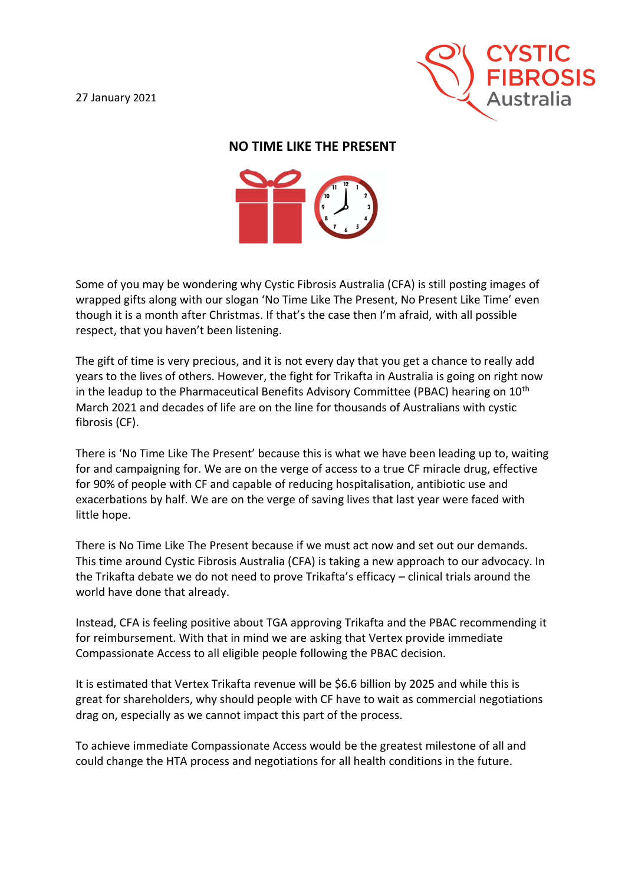

## **NO TIME LIKE THE PRESENT**



Some of you may be wondering why Cystic Fibrosis Australia (CFA) is still posting images of wrapped gifts along with our slogan 'No Time Like The Present, No Present Like Time' even though it is a month after Christmas. If that's the case then I'm afraid, with all possible respect, that you haven't been listening.

The gift of time is very precious, and it is not every day that you get a chance to really add years to the lives of others. However, the fight for Trikafta in Australia is going on right now in the leadup to the Pharmaceutical Benefits Advisory Committee (PBAC) hearing on  $10<sup>th</sup>$ March 2021 and decades of life are on the line for thousands of Australians with cystic fibrosis (CF).

There is 'No Time Like The Present' because this is what we have been leading up to, waiting for and campaigning for. We are on the verge of access to a true CF miracle drug, effective for 90% of people with CF and capable of reducing hospitalisation, antibiotic use and exacerbations by half. We are on the verge of saving lives that last year were faced with little hope.

There is No Time Like The Present because if we must act now and set out our demands. This time around Cystic Fibrosis Australia (CFA) is taking a new approach to our advocacy. In the Trikafta debate we do not need to prove Trikafta's efficacy – clinical trials around the world have done that already.

Instead, CFA is feeling positive about TGA approving Trikafta and the PBAC recommending it for reimbursement. With that in mind we are asking that Vertex provide immediate Compassionate Access to all eligible people following the PBAC decision.

It is estimated that Vertex Trikafta revenue will be \$6.6 billion by 2025 and while this is great for shareholders, why should people with CF have to wait as commercial negotiations drag on, especially as we cannot impact this part of the process.

To achieve immediate Compassionate Access would be the greatest milestone of all and could change the HTA process and negotiations for all health conditions in the future.